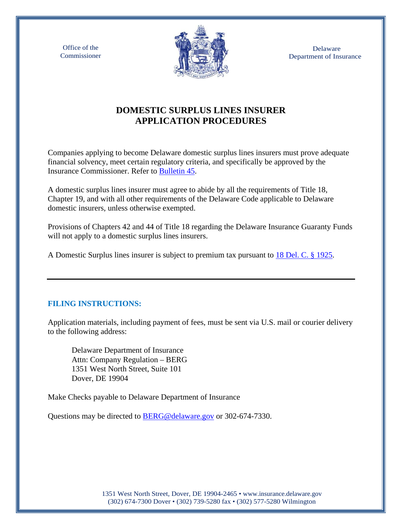Office of the Commissioner



 Delaware Department of Insurance

# **DOMESTIC SURPLUS LINES INSURER APPLICATION PROCEDURES**

Companies applying to become Delaware domestic surplus lines insurers must prove adequate financial solvency, meet certain regulatory criteria, and specifically be approved by the Insurance Commissioner. Refer to [Bulletin 45.](https://insurance.delaware.gov/wp-content/uploads/sites/15/2017/01/DomesticForeignInsurersBulletin45.pdf)

A domestic surplus lines insurer must agree to abide by all the requirements of Title 18, Chapter 19, and with all other requirements of the Delaware Code applicable to Delaware domestic insurers, unless otherwise exempted.

Provisions of Chapters 42 and 44 of Title 18 regarding the Delaware Insurance Guaranty Funds will not apply to a domestic surplus lines insurers.

A Domestic Surplus lines insurer is subject to premium tax pursuant to [18 Del. C. § 1925.](https://delcode.delaware.gov/title18/c019/sc02/index.shtml#1925)

## **FILING INSTRUCTIONS:**

Application materials, including payment of fees, must be sent via U.S. mail or courier delivery to the following address:

Delaware Department of Insurance Attn: Company Regulation – BERG 1351 West North Street, Suite 101 Dover, DE 19904

Make Checks payable to Delaware Department of Insurance

Questions may be directed to [BERG@delaware.gov](mailto:BERG@delaware.gov) or 302-674-7330.

1351 West North Street, Dover, DE 19904-2465 • [www.insurance.delaware.gov](http://www.insurance.delaware.gov/) (302) 674-7300 Dover • (302) 739-5280 fax • (302) 577-5280 Wilmington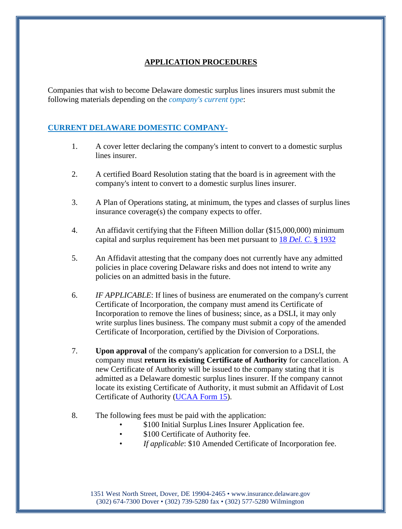## **APPLICATION PROCEDURES**

Companies that wish to become Delaware domestic surplus lines insurers must submit the following materials depending on the *company's current type*:

# **CURRENT DELAWARE DOMESTIC COMPANY-**

- 1. A cover letter declaring the company's intent to convert to a domestic surplus lines insurer.
- 2. A certified Board Resolution stating that the board is in agreement with the company's intent to convert to a domestic surplus lines insurer.
- 3. A Plan of Operations stating, at minimum, the types and classes of surplus lines insurance coverage(s) the company expects to offer.
- 4. An affidavit certifying that the Fifteen Million dollar (\$15,000,000) minimum capital and surplus requirement has been met pursuant to 18 *Del. C*[. § 1932](https://delcode.delaware.gov/title18/c019/sc03/index.shtml#1932)
- 5. An Affidavit attesting that the company does not currently have any admitted policies in place covering Delaware risks and does not intend to write any policies on an admitted basis in the future.
- 6. *IF APPLICABLE*: If lines of business are enumerated on the company's current Certificate of Incorporation, the company must amend its Certificate of Incorporation to remove the lines of business; since, as a DSLI, it may only write surplus lines business. The company must submit a copy of the amended Certificate of Incorporation, certified by the Division of Corporations.
- 7. **Upon approval** of the company's application for conversion to a DSLI, the company must **return its existing Certificate of Authority** for cancellation. A new Certificate of Authority will be issued to the company stating that it is admitted as a Delaware domestic surplus lines insurer. If the company cannot locate its existing Certificate of Authority, it must submit an Affidavit of Lost Certificate of Authority [\(UCAA Form 15\)](https://www.naic.org/documents/industry_ucaa_form15.pdf).
- 8. The following fees must be paid with the application:
	- \$100 Initial Surplus Lines Insurer Application fee.
	- \$100 Certificate of Authority fee.
	- *If applicable*: \$10 Amended Certificate of Incorporation fee.

1351 West North Street, Dover, DE 19904-2465 • [www.insurance.delaware.gov](http://www.insurance.delaware.gov/) (302) 674-7300 Dover • (302) 739-5280 fax • (302) 577-5280 Wilmington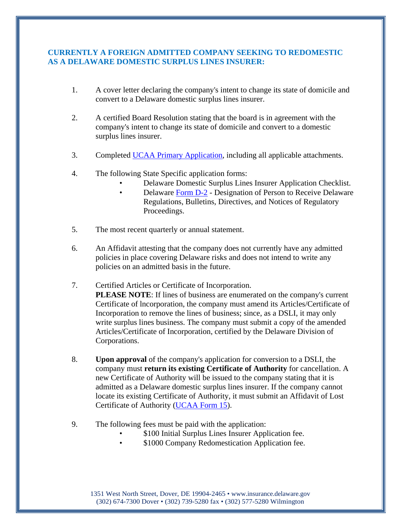#### **CURRENTLY A FOREIGN ADMITTED COMPANY SEEKING TO REDOMESTIC AS A DELAWARE DOMESTIC SURPLUS LINES INSURER:**

- 1. A cover letter declaring the company's intent to change its state of domicile and convert to a Delaware domestic surplus lines insurer.
- 2. A certified Board Resolution stating that the board is in agreement with the company's intent to change its state of domicile and convert to a domestic surplus lines insurer.
- 3. Completed [UCAA Primary Application,](https://www.naic.org/industry_ucaa.htm) including all applicable attachments.
- 4. The following State Specific application forms:
	- Delaware Domestic Surplus Lines Insurer Application Checklist.
	- Delaware [Form D-2](https://insurance.delaware.gov/wp-content/uploads/sites/15/2017/08/DesignationForRegulations_D2.pdf) Designation of Person to Receive Delaware Regulations, Bulletins, Directives, and Notices of Regulatory Proceedings.
- 5. The most recent quarterly or annual statement.
- 6. An Affidavit attesting that the company does not currently have any admitted policies in place covering Delaware risks and does not intend to write any policies on an admitted basis in the future.
- 7. Certified Articles or Certificate of Incorporation. **PLEASE NOTE**: If lines of business are enumerated on the company's current Certificate of lncorporation, the company must amend its Articles/Certificate of Incorporation to remove the lines of business; since, as a DSLI, it may only write surplus lines business. The company must submit a copy of the amended Articles/Certificate of Incorporation, certified by the Delaware Division of Corporations.
- 8. **Upon approval** of the company's application for conversion to a DSLI, the company must **return its existing Certificate of Authority** for cancellation. A new Certificate of Authority will be issued to the company stating that it is admitted as a Delaware domestic surplus lines insurer. If the company cannot locate its existing Certificate of Authority, it must submit an Affidavit of Lost Certificate of Authority [\(UCAA Form](https://www.naic.org/documents/industry_ucaa_form15.pdf) 15).
- 9. The following fees must be paid with the application:
	- \$100 Initial Surplus Lines Insurer Application fee.
	- \$1000 Company Redomestication Application fee.

1351 West North Street, Dover, DE 19904-2465 • [www.insurance.delaware.gov](http://www.insurance.delaware.gov/) (302) 674-7300 Dover • (302) 739-5280 fax • (302) 577-5280 Wilmington